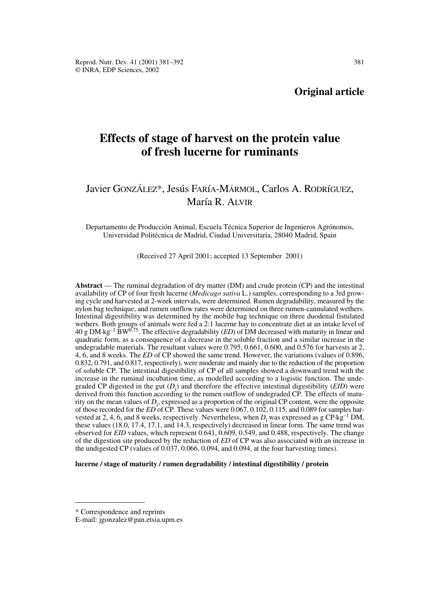## **Original article**

# **Effects of stage of harvest on the protein value of fresh lucerne for ruminants**

## Javier GONZÁLEZ\*, Jesús FARíA-MÁRMOL, Carlos A. RODRíGUEZ, María R. ALVIR

Departamento de Producción Animal, Escuela Técnica Superior de Ingenieros Agrónomos, Universidad Politécnica de Madrid, Ciudad Universitaria, 28040 Madrid, Spain

(Received 27 April 2001; accepted 13 September 2001)

**Abstract** — The ruminal degradation of dry matter (DM) and crude protein (CP) and the intestinal availability of CP of four fresh lucerne (*Medicago sativa* L.) samples, corresponding to a 3rd growing cycle and harvested at 2-week intervals, were determined. Rumen degradability, measured by the nylon bag technique, and rumen outflow rates were determined on three rumen-cannulated wethers. Intestinal digestibility was determined by the mobile bag technique on three duodenal fistulated wethers. Both groups of animals were fed a 2:1 lucerne hay to concentrate diet at an intake level of  $40 \text{ g}$  DM·kg<sup>-1</sup> BW<sup>0.75</sup>. The effective degradability (*ED*) of DM decreased with maturity in linear and quadratic form, as a consequence of a decrease in the soluble fraction and a similar increase in the undegradable materials. The resultant values were 0.795, 0.661, 0.600, and 0.576 for harvests at 2, 4, 6, and 8 weeks. The *ED* of CP showed the same trend. However, the variations (values of 0.896, 0.832, 0.791, and 0.817, respectively), were moderate and mainly due to the reduction of the proportion of soluble CP. The intestinal digestibility of CP of all samples showed a downward trend with the increase in the ruminal incubation time, as modelled according to a logistic function. The undegraded CP digested in the gut  $(D_i)$  and therefore the effective intestinal digestibility (*EID*) were derived from this function according to the rumen outflow of undegraded CP. The effects of maturity on the mean values of  $D_i$ , expressed as a proportion of the original CP content, were the opposite of those recorded for the *ED* of CP. These values were 0.067, 0.102, 0.115, and 0.089 for samples harvested at 2, 4, 6, and 8 weeks, respectively. Nevertheless, when  $D_i$  was expressed as g CP·kg<sup>-1</sup> DM, these values (18.0, 17.4, 17.1, and 14.3, respectively) decreased in linear form. The same trend was observed for *EID* values, which represent 0.641, 0.609, 0.549, and 0.488, respectively. The change of the digestion site produced by the reduction of *ED* of CP was also associated with an increase in the undigested CP (values of 0.037, 0.066, 0.094, and 0.094, at the four harvesting times).

## **lucerne / stage of maturity / rumen degradability / intestinal digestibility / protein**

<sup>\*</sup> Correspondence and reprints

E-mail: jgonzalez@pan.etsia.upm.es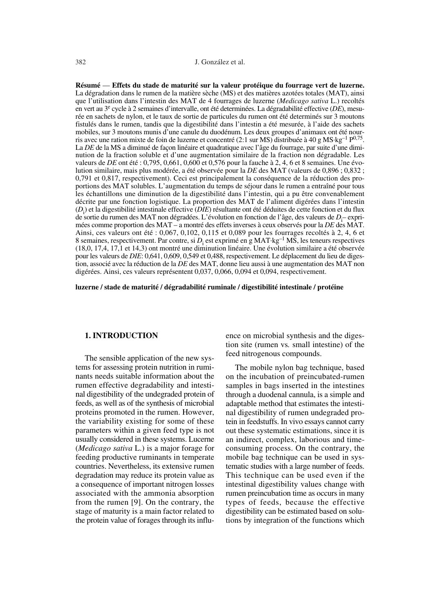**Résumé** — **Effets du stade de maturité sur la valeur protéique du fourrage vert de luzerne.** La dégradation dans le rumen de la matière sèche (MS) et des matières azotées totales (MAT), ainsi que l'utilisation dans l'intestin des MAT de 4 fourrages de luzerne (*Medicago sativa* L.) recoltés en vert au 3e cycle à 2 semaines d'intervalle, ont été determinées. La dégradabilité effective (*DE*), mesurée en sachets de nylon, et le taux de sortie de particules du rumen ont été determinés sur 3 moutons fistulés dans le rumen, tandis que la digestibilité dans l'intestin a été mesurée, à l'aide des sachets mobiles, sur 3 moutons munis d'une canule du duodénum. Les deux groupes d'animaux ont été nourris avec une ration mixte de foin de luzerne et concentré (2:1 sur MS) distribuée à 40 g MS·kg<sup>-1</sup> P<sup>0,75</sup>. La *DE* de la MS a diminué de façon linéaire et quadratique avec l'âge du fourrage, par suite d'une diminution de la fraction soluble et d'une augmentation similaire de la fraction non dégradable. Les valeurs de *DE* ont été : 0,795, 0,661, 0,600 et 0,576 pour la fauche à 2, 4, 6 et 8 semaines. Une évolution similaire, mais plus modérée, a été observée pour la *DE* des MAT (valeurs de 0,896 ; 0,832 ; 0,791 et 0,817, respectivement). Ceci est principalement la conséquence de la réduction des proportions des MAT solubles. L'augmentation du temps de séjour dans le rumen a entraîné pour tous les échantillons une diminution de la digestibilité dans l'intestin, qui a pu être convenablement décrite par une fonction logistique. La proportion des MAT de l'aliment digérées dans l'intestin (*D*i ) et la digestibilité intestinale effective (*DIE*) résultante ont été déduites de cette fonction et du flux de sortie du rumen des MAT non dégradées. L'évolution en fonction de l'âge, des valeurs de *D*<sub>i</sub>-exprimées comme proportion des MAT – a montré des effets inverses à ceux observés pour la *DE* des MAT. Ainsi, ces valeurs ont été : 0,067, 0,102, 0,115 et 0,089 pour les fourrages recoltés à 2, 4, 6 et 8 semaines, respectivement. Par contre, si *D*<sup>i</sup> est exprimé en g MAT.kg–1 MS, les teneurs respectives (18,0, 17,4, 17,1 et 14,3) ont montré une diminution linéaire. Une évolution similaire a été observée pour les valeurs de *DIE*: 0,641, 0,609, 0,549 et 0,488, respectivement. Le déplacement du lieu de digestion, associé avec la réduction de la *DE* des MAT, donne lieu aussi à une augmentation des MAT non digérées. Ainsi, ces valeurs représentent 0,037, 0,066, 0,094 et 0,094, respectivement.

**luzerne / stade de maturité / dégradabilité ruminale / digestibilité intestinale / protéine**

## **1. INTRODUCTION**

The sensible application of the new systems for assessing protein nutrition in ruminants needs suitable information about the rumen effective degradability and intestinal digestibility of the undegraded protein of feeds, as well as of the synthesis of microbial proteins promoted in the rumen. However, the variability existing for some of these parameters within a given feed type is not usually considered in these systems. Lucerne (*Medicago sativa* L.) is a major forage for feeding productive ruminants in temperate countries. Nevertheless, its extensive rumen degradation may reduce its protein value as a consequence of important nitrogen losses associated with the ammonia absorption from the rumen [9]. On the contrary, the stage of maturity is a main factor related to the protein value of forages through its influence on microbial synthesis and the digestion site (rumen vs*.* small intestine) of the feed nitrogenous compounds.

The mobile nylon bag technique, based on the incubation of preincubated-rumen samples in bags inserted in the intestines through a duodenal cannula, is a simple and adaptable method that estimates the intestinal digestibility of rumen undegraded protein in feedstuffs. In vivo essays cannot carry out these systematic estimations, since it is an indirect, complex, laborious and timeconsuming process. On the contrary, the mobile bag technique can be used in systematic studies with a large number of feeds. This technique can be used even if the intestinal digestibility values change with rumen preincubation time as occurs in many types of feeds, because the effective digestibility can be estimated based on solutions by integration of the functions which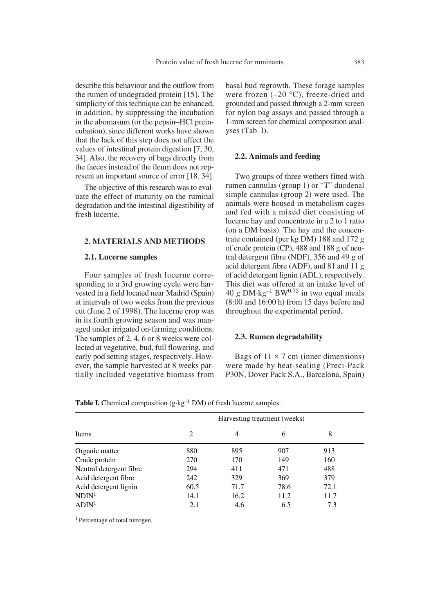describe this behaviour and the outflow from the rumen of undegraded protein [15]. The simplicity of this technique can be enhanced, in addition, by suppressing the incubation in the abomasum (or the pepsin–HCl preincubation), since different works have shown that the lack of this step does not affect the values of intestinal protein digestion [7, 30, 34]. Also, the recovery of bags directly from the faeces instead of the ileum does not represent an important source of error [18, 34].

The objective of this research was to evaluate the effect of maturity on the ruminal degradation and the intestinal digestibility of fresh lucerne.

## **2. MATERIALS AND METHODS**

## **2.1. Lucerne samples**

Four samples of fresh lucerne corresponding to a 3rd growing cycle were harvested in a field located near Madrid (Spain) at intervals of two weeks from the previous cut (June 2 of 1998). The lucerne crop was in its fourth growing season and was managed under irrigated on-farming conditions. The samples of 2, 4, 6 or 8 weeks were collected at vegetative, bud, full flowering, and early pod setting stages, respectively. However, the sample harvested at 8 weeks partially included vegetative biomass from basal bud regrowth. These forage samples were frozen  $(-20 \degree C)$ , freeze-dried and grounded and passed through a 2-mm screen for nylon bag assays and passed through a 1-mm screen for chemical composition analyses (Tab. I).

#### **2.2. Animals and feeding**

Two groups of three wethers fitted with rumen cannulas (group 1) or "T" duodenal simple cannulas (group 2) were used. The animals were housed in metabolism cages and fed with a mixed diet consisting of lucerne hay and concentrate in a 2 to 1 ratio (on a DM basis). The hay and the concentrate contained (per kg DM) 188 and 172 g of crude protein (CP), 488 and 188 g of neutral detergent fibre (NDF), 356 and 49 g of acid detergent fibre (ADF), and 81 and 11 g of acid detergent lignin (ADL), respectively. This diet was offered at an intake level of 40 g DM $\cdot$ kg<sup>-1</sup> BW<sup>0.75</sup> in two equal meals (8:00 and 16:00 h) from 15 days before and throughout the experimental period.

#### **2.3. Rumen degradability**

Bags of  $11 \times 7$  cm (inner dimensions) were made by heat-sealing (Preci-Pack P30N, Dover Pack S.A., Barcelona, Spain)

|                         |      |      | Harvesting treatment (weeks) |      |
|-------------------------|------|------|------------------------------|------|
| Items                   | 2    | 4    | 6                            | 8    |
| Organic matter          | 880  | 895  | 907                          | 913  |
| Crude protein           | 270  | 170  | 149                          | 160  |
| Neutral detergent fibre | 294  | 411  | 471                          | 488  |
| Acid detergent fibre    | 242  | 329  | 369                          | 379  |
| Acid detergent lignin   | 60.5 | 71.7 | 78.6                         | 72.1 |
| NDIN <sup>1</sup>       | 14.1 | 16.2 | 11.2                         | 11.7 |
| ADIN <sup>1</sup>       | 2.1  | 4.6  | 6.5                          | 7.3  |

**Table I.** Chemical composition  $(g \cdot kg^{-1} DM)$  of fresh lucerne samples.

1 Percentage of total nitrogen.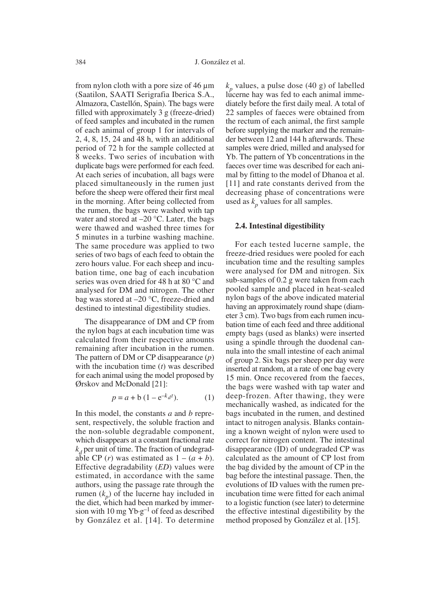from nylon cloth with a pore size of 46 µm (Saatilon, SAATI Serigrafia Iberica S.A., Almazora, Castellón, Spain). The bags were filled with approximately 3 g (freeze-dried) of feed samples and incubated in the rumen of each animal of group 1 for intervals of 2, 4, 8, 15, 24 and 48 h, with an additional period of 72 h for the sample collected at 8 weeks. Two series of incubation with duplicate bags were performed for each feed. At each series of incubation, all bags were placed simultaneously in the rumen just before the sheep were offered their first meal in the morning. After being collected from the rumen, the bags were washed with tap water and stored at  $-20$  °C. Later, the bags were thawed and washed three times for 5 minutes in a turbine washing machine. The same procedure was applied to two series of two bags of each feed to obtain the zero hours value. For each sheep and incubation time, one bag of each incubation series was oven dried for 48 h at 80 °C and analysed for DM and nitrogen. The other bag was stored at –20 °C, freeze-dried and destined to intestinal digestibility studies.

The disappearance of DM and CP from the nylon bags at each incubation time was calculated from their respective amounts remaining after incubation in the rumen. The pattern of DM or CP disappearance (*p*) with the incubation time (*t*) was described for each animal using the model proposed by Ørskov and McDonald [21]:

$$
p = a + b (1 - e^{-k_d t}).
$$
 (1)

In this model, the constants *a* and *b* represent, respectively, the soluble fraction and the non-soluble degradable component, which disappears at a constant fractional rate  $k_d$  per unit of time. The fraction of undegradable CP  $(r)$  was estimated as  $1 - (a + b)$ . Effective degradability (*ED*) values were estimated, in accordance with the same authors, using the passage rate through the rumen  $(k_n)$  of the lucerne hay included in the diet, which had been marked by immersion with 10 mg  $Yb \cdot g^{-1}$  of feed as described by González et al. [14]. To determine  $k_p$  values, a pulse dose (40 g) of labelled lucerne hay was fed to each animal immediately before the first daily meal. A total of 22 samples of faeces were obtained from the rectum of each animal, the first sample before supplying the marker and the remainder between 12 and 144 h afterwards. These samples were dried, milled and analysed for Yb. The pattern of Yb concentrations in the faeces over time was described for each animal by fitting to the model of Dhanoa et al. [11] and rate constants derived from the decreasing phase of concentrations were used as  $k_p$  values for all samples.

## **2.4. Intestinal digestibility**

For each tested lucerne sample, the freeze-dried residues were pooled for each incubation time and the resulting samples were analysed for DM and nitrogen. Six sub-samples of 0.2 g were taken from each pooled sample and placed in heat-sealed nylon bags of the above indicated material having an approximately round shape (diameter 3 cm). Two bags from each rumen incubation time of each feed and three additional empty bags (used as blanks) were inserted using a spindle through the duodenal cannula into the small intestine of each animal of group 2. Six bags per sheep per day were inserted at random, at a rate of one bag every 15 min. Once recovered from the faeces, the bags were washed with tap water and deep-frozen. After thawing, they were mechanically washed, as indicated for the bags incubated in the rumen, and destined intact to nitrogen analysis. Blanks containing a known weight of nylon were used to correct for nitrogen content. The intestinal disappearance (ID) of undegraded CP was calculated as the amount of CP lost from the bag divided by the amount of CP in the bag before the intestinal passage. Then, the evolutions of ID values with the rumen preincubation time were fitted for each animal to a logistic function (see later) to determine the effective intestinal digestibility by the method proposed by González et al. [15].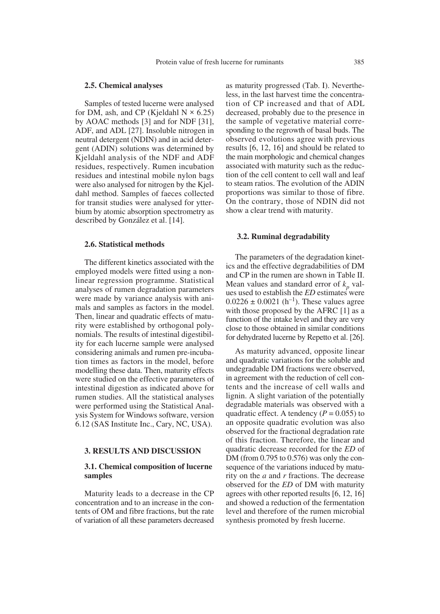#### **2.5. Chemical analyses**

Samples of tested lucerne were analysed for DM, ash, and CP (Kjeldahl  $N \times 6.25$ ) by AOAC methods [3] and for NDF [31], ADF, and ADL [27]. Insoluble nitrogen in neutral detergent (NDIN) and in acid detergent (ADIN) solutions was determined by Kjeldahl analysis of the NDF and ADF residues, respectively. Rumen incubation residues and intestinal mobile nylon bags were also analysed for nitrogen by the Kjeldahl method. Samples of faeces collected for transit studies were analysed for ytterbium by atomic absorption spectrometry as described by González et al. [14].

## **2.6. Statistical methods**

The different kinetics associated with the employed models were fitted using a nonlinear regression programme. Statistical analyses of rumen degradation parameters were made by variance analysis with animals and samples as factors in the model. Then, linear and quadratic effects of maturity were established by orthogonal polynomials. The results of intestinal digestibility for each lucerne sample were analysed considering animals and rumen pre-incubation times as factors in the model, before modelling these data. Then, maturity effects were studied on the effective parameters of intestinal digestion as indicated above for rumen studies. All the statistical analyses were performed using the Statistical Analysis System for Windows software, version 6.12 (SAS Institute Inc., Cary, NC, USA).

#### **3. RESULTS AND DISCUSSION**

## **3.1. Chemical composition of lucerne samples**

Maturity leads to a decrease in the CP concentration and to an increase in the contents of OM and fibre fractions, but the rate of variation of all these parameters decreased

as maturity progressed (Tab. I). Nevertheless, in the last harvest time the concentration of CP increased and that of ADL decreased, probably due to the presence in the sample of vegetative material corresponding to the regrowth of basal buds. The observed evolutions agree with previous results [6, 12, 16] and should be related to the main morphologic and chemical changes associated with maturity such as the reduction of the cell content to cell wall and leaf to steam ratios. The evolution of the ADIN proportions was similar to those of fibre. On the contrary, those of NDIN did not show a clear trend with maturity.

#### **3.2. Ruminal degradability**

The parameters of the degradation kinetics and the effective degradabilities of DM and CP in the rumen are shown in Table II. Mean values and standard error of  $k_p$  values used to establish the *ED* estimates were  $0.0226 \pm 0.0021$  (h<sup>-1</sup>). These values agree with those proposed by the AFRC [1] as a function of the intake level and they are very close to those obtained in similar conditions for dehydrated lucerne by Repetto et al. [26].

As maturity advanced, opposite linear and quadratic variations for the soluble and undegradable DM fractions were observed, in agreement with the reduction of cell contents and the increase of cell walls and lignin. A slight variation of the potentially degradable materials was observed with a quadratic effect. A tendency  $(P = 0.055)$  to an opposite quadratic evolution was also observed for the fractional degradation rate of this fraction. Therefore, the linear and quadratic decrease recorded for the *ED* of DM (from 0.795 to 0.576) was only the consequence of the variations induced by maturity on the *a* and *r* fractions. The decrease observed for the *ED* of DM with maturity agrees with other reported results [6, 12, 16] and showed a reduction of the fermentation level and therefore of the rumen microbial synthesis promoted by fresh lucerne.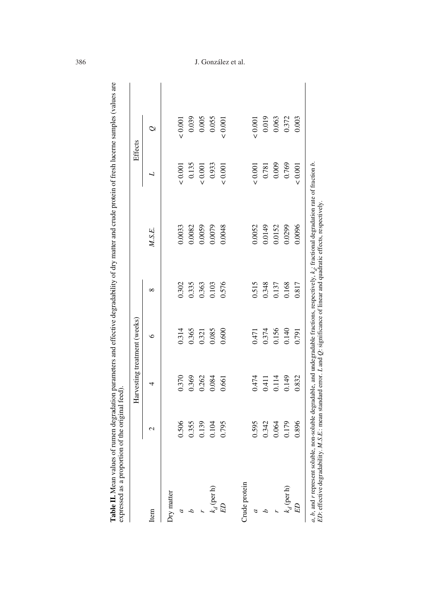|               |             | Harvesting treatment (weeks) |         |          |        |                | Effects        |
|---------------|-------------|------------------------------|---------|----------|--------|----------------|----------------|
| Item          | $\mathbf 2$ | 4                            | $\circ$ | $\infty$ | M.S.E. | L              | $\mathcal{Q}$  |
| Iry matter    |             |                              |         |          |        |                |                |
|               | 0.506       | 0.370                        | 0.314   | 0.302    | 0.0033 | ${}_{0.001}$   | ${}_{0.001}$   |
|               | 0.355       | 0.369                        | 0.365   | 0.335    | 0.0082 | 0.135          | 0.039          |
|               | 0.139       | 0.262                        | 0.321   | 0.363    | 0.0059 | 0.001          | 0.005          |
| $k_d$ (per h) | 0.104       | 0.084                        | 0.085   | 0.103    | 0.0079 | 0.933          | 0.055          |
| ED            | 0.795       | 0.661                        | 0.600   | 0.576    | 0.0048 | ${}_{0.001}$   | ${}_{< 0.001}$ |
|               |             |                              |         |          |        |                |                |
| Crude protein |             |                              |         |          |        |                |                |
| a             | 0.595       | 0.474                        | 0.471   | 0.515    | 0.0052 | ${}_{< 0.001}$ | 0.001          |
|               | 0.342       | 0.411                        | 0.374   | 0.348    | 0.0149 | 0.781          | 0.019          |
|               | 0.064       | 0.114                        | 0.156   | 0.137    | 0.0152 | 0.009          | 0.063          |
| $k_d$ (per h) | 0.179       | 0.149                        | 0.140   | 0.168    | 0.0299 | 0.769          | 0.372          |
| G3            | 0.896       | 0.832                        | 0.791   | 0.817    | 0.0096 | ${}_{0.001}$   | 0.003          |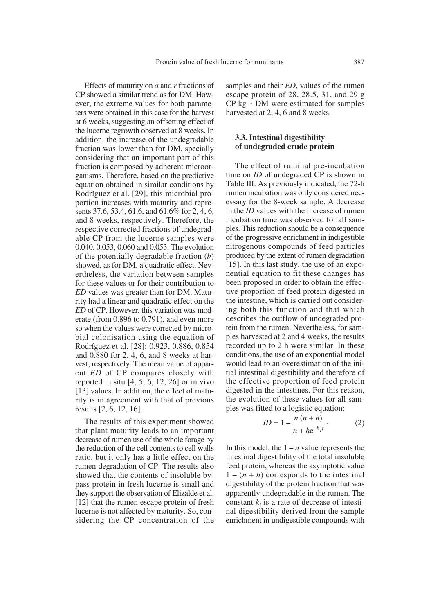Effects of maturity on *a* and *r* fractions of CP showed a similar trend as for DM. However, the extreme values for both parameters were obtained in this case for the harvest at 6 weeks, suggesting an offsetting effect of the lucerne regrowth observed at 8 weeks. In addition, the increase of the undegradable fraction was lower than for DM, specially considering that an important part of this fraction is composed by adherent microorganisms. Therefore, based on the predictive equation obtained in similar conditions by Rodríguez et al. [29], this microbial proportion increases with maturity and represents 37.6, 53.4, 61.6, and 61.6% for 2, 4, 6, and 8 weeks, respectively. Therefore, the respective corrected fractions of undegradable CP from the lucerne samples were 0.040, 0.053, 0.060 and 0.053. The evolution of the potentially degradable fraction (*b*) showed, as for DM, a quadratic effect. Nevertheless, the variation between samples for these values or for their contribution to *ED* values was greater than for DM. Maturity had a linear and quadratic effect on the *ED* of CP. However, this variation was moderate (from 0.896 to 0.791), and even more so when the values were corrected by microbial colonisation using the equation of Rodríguez et al. [28]: 0.923, 0.886, 0.854 and 0.880 for 2, 4, 6, and 8 weeks at harvest, respectively. The mean value of apparent *ED* of CP compares closely with reported in situ [4, 5, 6, 12, 26] or in vivo [13] values. In addition, the effect of maturity is in agreement with that of previous results [2, 6, 12, 16].

The results of this experiment showed that plant maturity leads to an important decrease of rumen use of the whole forage by the reduction of the cell contents to cell walls ratio, but it only has a little effect on the rumen degradation of CP. The results also showed that the contents of insoluble bypass protein in fresh lucerne is small and they support the observation of Elizalde et al. [12] that the rumen escape protein of fresh lucerne is not affected by maturity. So, considering the CP concentration of the samples and their *ED*, values of the rumen escape protein of 28, 28.5, 31, and 29 g  $CP \cdot kg^{-1}$  DM were estimated for samples harvested at 2, 4, 6 and 8 weeks.

## **3.3. Intestinal digestibility of undegraded crude protein**

The effect of ruminal pre-incubation time on *ID* of undegraded CP is shown in Table III. As previously indicated, the 72-h rumen incubation was only considered necessary for the 8-week sample. A decrease in the *ID* values with the increase of rumen incubation time was observed for all samples. This reduction should be a consequence of the progressive enrichment in indigestible nitrogenous compounds of feed particles produced by the extent of rumen degradation [15]. In this last study, the use of an exponential equation to fit these changes has been proposed in order to obtain the effective proportion of feed protein digested in the intestine, which is carried out considering both this function and that which describes the outflow of undegraded protein from the rumen. Nevertheless, for samples harvested at 2 and 4 weeks, the results recorded up to 2 h were similar. In these conditions, the use of an exponential model would lead to an overestimation of the initial intestinal digestibility and therefore of the effective proportion of feed protein digested in the intestines. For this reason, the evolution of these values for all samples was fitted to a logistic equation:

$$
ID = 1 - \frac{n(n+h)}{n + he^{-k}i!}
$$
 (2)

In this model, the  $1 - n$  value represents the intestinal digestibility of the total insoluble feed protein, whereas the asymptotic value  $1 - (n + h)$  corresponds to the intestinal digestibility of the protein fraction that was apparently undegradable in the rumen. The constant  $k_i$  is a rate of decrease of intestinal digestibility derived from the sample enrichment in undigestible compounds with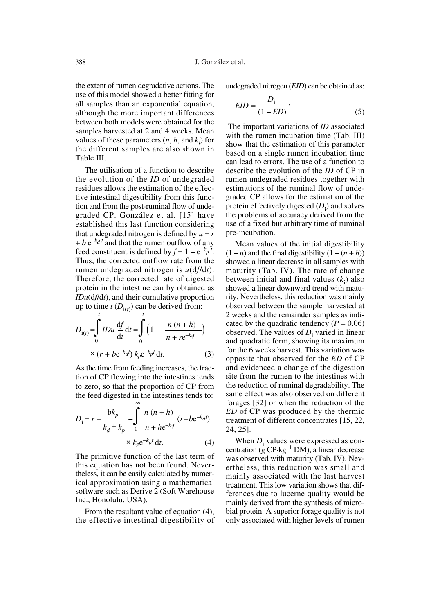the extent of rumen degradative actions. The use of this model showed a better fitting for all samples than an exponential equation, *t* although the more important differences between both models were obtained for the samples harvested at 2 and 4 weeks. Mean values of these parameters  $(n, h, \text{ and } k_i)$  for the different samples are also shown in Table III.

The utilisation of a function to describe the evolution of the *ID* of undegraded residues allows the estimation of the effective intestinal digestibility from this function and from the post-ruminal flow of undegraded CP. González et al. [15] have established this last function considering that undegraded nitrogen is defined by  $u = r$  $+ b e^{-k d t}$  and that the rumen outflow of any feed constituent is defined by  $f = 1 - e^{-k_p t}$ . Thus, the corrected outflow rate from the rumen undegraded nitrogen is *u*(d*f*/d*t*). Therefore, the corrected rate of digested protein in the intestine can by obtained as *IDu*(d*f*/d*t*), and their cumulative proportion up to time  $t(D_{i(t)})$  can be derived from:

$$
D_{i(t)} = \int_{0}^{t} IDu \frac{df}{dt} dt = \int_{0}^{t} \left(1 - \frac{n (n+h)}{n + re^{-k}t}\right)
$$
  
×  $(r + be^{-k}d) k_{p}e^{-k_{p}t} dt.$  (3)

As the time from feeding increases, the fraction of CP flowing into the intestines tends to zero, so that the proportion of CP from the feed digested in the intestines tends to:

$$
D_{1} = r + \frac{bk_{p}}{k_{d} + k_{p}} - \int_{0}^{\infty} \frac{n (n + h)}{n + he^{-k_{1}t}} (r + be^{-k_{d}t})
$$
  
  $\times k_{p}e^{-k_{p}t} dt.$  (4)

The primitive function of the last term of this equation has not been found. Nevertheless, it can be easily calculated by numerical approximation using a mathematical software such as Derive 2 (Soft Warehouse Inc., Honolulu, USA).

From the resultant value of equation (4), the effective intestinal digestibility of undegraded nitrogen (*EID*) can be obtained as:

$$
EID = \frac{D_i}{(1 - ED)} \tag{5}
$$

The important variations of *ID* associated with the rumen incubation time (Tab. III) show that the estimation of this parameter based on a single rumen incubation time can lead to errors. The use of a function to describe the evolution of the *ID* of CP in rumen undegraded residues together with estimations of the ruminal flow of undegraded CP allows for the estimation of the protein effectively digested  $(D_i)$  and solves the problems of accuracy derived from the use of a fixed but arbitrary time of ruminal pre-incubation.

Mean values of the initial digestibility  $(1 - n)$  and the final digestibility  $(1 - (n + h))$ showed a linear decrease in all samples with maturity (Tab. IV). The rate of change between initial and final values  $(k<sub>i</sub>)$  also showed a linear downward trend with maturity. Nevertheless, this reduction was mainly observed between the sample harvested at 2 weeks and the remainder samples as indicated by the quadratic tendency  $(P = 0.06)$ observed. The values of  $D_i$  varied in linear and quadratic form, showing its maximum for the 6 weeks harvest. This variation was opposite that observed for the *ED* of CP and evidenced a change of the digestion site from the rumen to the intestines with the reduction of ruminal degradability. The same effect was also observed on different forages [32] or when the reduction of the *ED* of CP was produced by the thermic treatment of different concentrates [15, 22, 24, 25].

When  $D_i$  values were expressed as concentration (g  $CP \cdot kg^{-1}$  DM), a linear decrease was observed with maturity (Tab. IV). Nevertheless, this reduction was small and mainly associated with the last harvest treatment. This low variation shows that differences due to lucerne quality would be mainly derived from the synthesis of microbial protein. A superior forage quality is not only associated with higher levels of rumen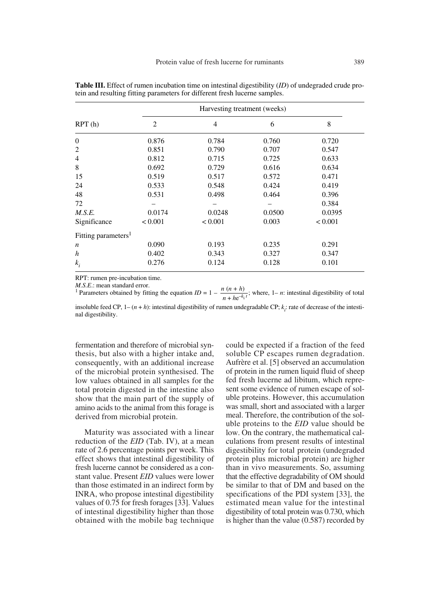|                                 |                | Harvesting treatment (weeks) |        |         |
|---------------------------------|----------------|------------------------------|--------|---------|
| RPT(h)                          | $\overline{2}$ | $\overline{4}$               | 6      | 8       |
| $\boldsymbol{0}$                | 0.876          | 0.784                        | 0.760  | 0.720   |
| $\overline{2}$                  | 0.851          | 0.790                        | 0.707  | 0.547   |
| $\overline{4}$                  | 0.812          | 0.715                        | 0.725  | 0.633   |
| 8                               | 0.692          | 0.729                        | 0.616  | 0.634   |
| 15                              | 0.519          | 0.517                        | 0.572  | 0.471   |
| 24                              | 0.533          | 0.548                        | 0.424  | 0.419   |
| 48                              | 0.531          | 0.498                        | 0.464  | 0.396   |
| 72                              |                |                              |        | 0.384   |
| M.S.E.                          | 0.0174         | 0.0248                       | 0.0500 | 0.0395  |
| Significance                    | < 0.001        | < 0.001                      | 0.003  | < 0.001 |
| Fitting parameters <sup>1</sup> |                |                              |        |         |
| $\boldsymbol{n}$                | 0.090          | 0.193                        | 0.235  | 0.291   |
| $\boldsymbol{h}$                | 0.402          | 0.343                        | 0.327  | 0.347   |
| $k_i$                           | 0.276          | 0.124                        | 0.128  | 0.101   |

**Table III.** Effect of rumen incubation time on intestinal digestibility (*ID*) of undegraded crude protein and resulting fitting parameters for different fresh lucerne samples.

RPT: rumen pre-incubation time.

*M.S.E.*: mean standard error.<br><sup>1</sup> Parameters obtained by fitting the equation *ID* = 1 –  $\frac{n(n+h)}{n}$ ; where, 1– *n*: intestinal digestibility of total  $n + he^{-k_1 t}$ <br>
insoluble feed CP 1–(*n* + *h*) intestinal directibility of rumen unde

insoluble feed CP,  $1-(n+h)$ : intestinal digestibility of rumen undegradable CP;  $k<sub>i</sub>$ : rate of decrease of the intestinal digestibility.

fermentation and therefore of microbial synthesis, but also with a higher intake and, consequently, with an additional increase of the microbial protein synthesised. The low values obtained in all samples for the total protein digested in the intestine also show that the main part of the supply of amino acids to the animal from this forage is derived from microbial protein.

Maturity was associated with a linear reduction of the *EID* (Tab. IV), at a mean rate of 2.6 percentage points per week. This effect shows that intestinal digestibility of fresh lucerne cannot be considered as a constant value. Present *EID* values were lower than those estimated in an indirect form by INRA, who propose intestinal digestibility values of 0.75 for fresh forages [33]. Values of intestinal digestibility higher than those obtained with the mobile bag technique could be expected if a fraction of the feed soluble CP escapes rumen degradation. Aufrère et al. [5] observed an accumulation of protein in the rumen liquid fluid of sheep fed fresh lucerne ad libitum, which represent some evidence of rumen escape of soluble proteins. However, this accumulation was small, short and associated with a larger meal. Therefore, the contribution of the soluble proteins to the *EID* value should be low. On the contrary, the mathematical calculations from present results of intestinal digestibility for total protein (undegraded protein plus microbial protein) are higher than in vivo measurements. So, assuming that the effective degradability of OM should be similar to that of DM and based on the specifications of the PDI system [33], the estimated mean value for the intestinal digestibility of total protein was 0.730, which is higher than the value (0.587) recorded by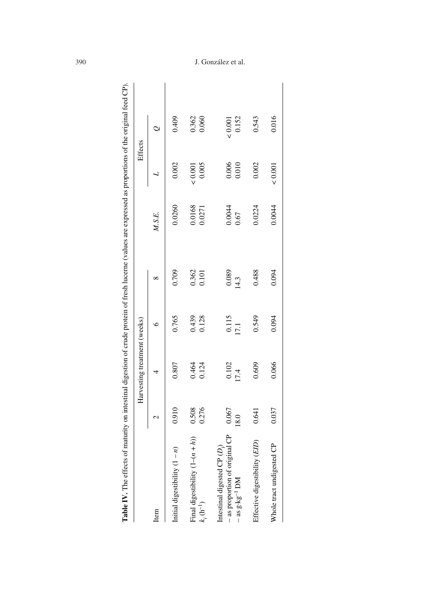|                                                                                        |                  | Harvesting treatment (weeks) |                |                |                  | Effects                |                        |
|----------------------------------------------------------------------------------------|------------------|------------------------------|----------------|----------------|------------------|------------------------|------------------------|
| Item                                                                                   | $\mathrel{\sim}$ | 4                            | €              | ∞              | M.S.E.           |                        | $\mathcal{Q}$          |
| Initial digestibility $(1 - n)$                                                        | 0.910            | 0.807                        | 0.765          | 0.709          | 0.0260           | 0.002                  | 0.409                  |
| $\binom{n}{l}$<br>Final digestibility $(1 - (n +$<br>$k_i(\text{h}^{-1})$              | 0.276<br>0.508   | 0.464<br>0.124               | 0.439<br>0.128 | 0.362<br>0.101 | 0.0168<br>0.0271 | 0.005<br>${}_{<0.001}$ | 0.362<br>0.060         |
| - as proportion of original CP<br>Intestinal digested CP (D.<br>$-$ as g·kg $^{-1}$ DM | 0.067<br>18.0    | 0.102<br>17.4                | 0.115<br>17.1  | 0.089<br>14.3  | 0.0044<br>0.67   | 0.006<br>0.010         | 0.152<br>${}_{<0.001}$ |
| Effective digestibility (EID)                                                          | 0.641            | 0.609                        | 0.549          | 0.488          | 0.0224           | 0.002                  | 0.543                  |
| Whole tract undigested CP                                                              | 0.037            | 0.066                        | 0.094          | 0.094          | 0.0044           | 10001                  | 0.016                  |
|                                                                                        |                  |                              |                |                |                  |                        |                        |

## 390 J. González et al.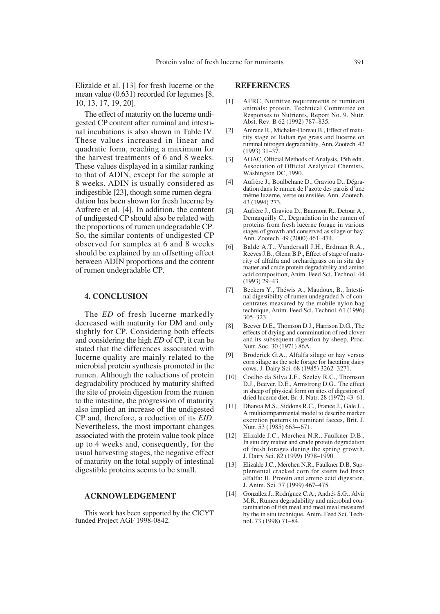Elizalde et al. [13] for fresh lucerne or the mean value (0.631) recorded for legumes [8, 10, 13, 17, 19, 20].

The effect of maturity on the lucerne undigested CP content after ruminal and intestinal incubations is also shown in Table IV. These values increased in linear and quadratic form, reaching a maximum for the harvest treatments of 6 and 8 weeks. These values displayed in a similar ranking to that of ADIN, except for the sample at 8 weeks. ADIN is usually considered as indigestible [23], though some rumen degradation has been shown for fresh lucerne by Aufrere et al. [4]. In addition, the content of undigested CP should also be related with the proportions of rumen undegradable CP. So, the similar contents of undigested CP observed for samples at 6 and 8 weeks should be explained by an offsetting effect between ADIN proportions and the content of rumen undegradable CP.

## **4. CONCLUSION**

The *ED* of fresh lucerne markedly decreased with maturity for DM and only slightly for CP. Considering both effects and considering the high *ED* of CP, it can be stated that the differences associated with lucerne quality are mainly related to the microbial protein synthesis promoted in the rumen. Although the reductions of protein degradability produced by maturity shifted the site of protein digestion from the rumen to the intestine, the progression of maturity also implied an increase of the undigested CP and, therefore, a reduction of its *EID*. Nevertheless, the most important changes associated with the protein value took place up to 4 weeks and, consequently, for the usual harvesting stages, the negative effect of maturity on the total supply of intestinal digestible proteins seems to be small.

#### **ACKNOWLEDGEMENT**

This work has been supported by the CICYT funded Project AGF 1998-0842.

## **REFERENCES**

- [1] AFRC, Nutritive requirements of ruminant animals: protein, Technical Committee on Responses to Nutrients, Report No. 9. Nutr. Abst. Rev. B 62 (1992) 787–835.
- [2] Amrane R., Michalet-Doreau B., Effect of maturity stage of Italian rye grass and lucerne on ruminal nitrogen degradability, Ann. Zootech. 42 (1993) 31–37.
- [3] AOAC, Official Methods of Analysis, 15th edn., Association of Official Analytical Chemists, Washington DC, 1990.
- [4] Aufrère J., Boulbehane D., Graviou D., Dégradation dans le rumen de l'azote des parois d'une même luzerne, verte ou ensilée, Ann. Zootech. 43 (1994) 273.
- [5] Aufrère J., Graviou D., Baumont R., Detour A., Demarquilly C., Degradation in the rumen of proteins from fresh lucerne forage in various stages of growth and conserved as silage or hay, Ann. Zootech. 49 (2000) 461–474.
- [6] Balde A.T., Vandersall J.H., Erdman R.A., Reeves J.B., Glenn B.P., Effect of stage of maturity of alfalfa and orchardgrass on in situ dry matter and crude protein degradability and amino acid composition, Anim. Feed Sci. Technol. 44  $(1993)$   $29-43$ .
- [7] Beckers Y., Théwis A., Maudoux, B., Intestinal digestibility of rumen undegraded N of concentrates measured by the mobile nylon bag technique, Anim. Feed Sci. Technol. 61 (1996) 305–323.
- [8] Beever D.E., Thomson D.J., Harrison D.G., The effects of drying and comminution of red clover and its subsequent digestion by sheep, Proc. Nutr. Soc. 30 (1971) 86A.
- [9] Broderick G.A., Alfalfa silage or hay versus corn silage as the sole forage for lactating dairy cows, J. Dairy Sci. 68 (1985) 3262–3271.
- [10] Coelho da Silva J.F., Seeley R.C., Thomson D.J., Beever, D.E., Armstrong D.G., The effect in sheep of physical form on sites of digestion of dried lucerne diet, Br. J. Nutr. 28 (1972) 43–61.
- [11] Dhanoa M.S., Siddons R.C., France J., Gale L., A multicompartmental model to describe marker excretion patterns in ruminant faeces, Brit. J. Nutr. 53 (1985) 663–-671.
- [12] Elizalde J.C., Merchen N.R., Faulkner D.B., In situ dry matter and crude protein degradation of fresh forages during the spring growth, J. Dairy Sci. 82 (1999) 1978–1990.
- [13] Elizalde J.C., Merchen N.R., Faulkner D.B. Supplemental cracked corn for steers fed fresh alfalfa: II. Protein and amino acid digestion, J. Anim. Sci. 77 (1999) 467–475.
- [14] González J., Rodríguez C.A., Andrés S.G., Alvir M.R., Rumen degradability and microbial contamination of fish meal and meat meal measured by the in situ technique, Anim. Feed Sci. Technol. 73 (1998) 71–84.